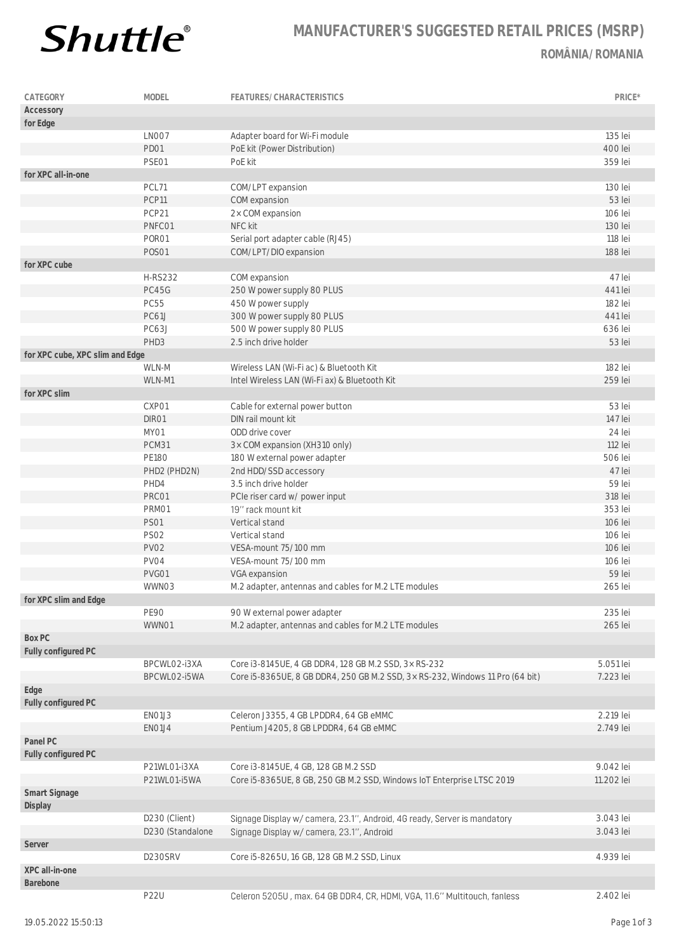

## **MANUFACTURER'S SUGGESTED RETAIL PRICES (MSRP) ROMÂNIA/ROMANIA**

| CATEGORY                        | MODEL            | FEATURES/CHARACTERISTICS                                                      | PRICE*     |
|---------------------------------|------------------|-------------------------------------------------------------------------------|------------|
| Accessory                       |                  |                                                                               |            |
| for Edge                        |                  |                                                                               |            |
|                                 | LNO07            | Adapter board for Wi-Fi module                                                | 135 lei    |
|                                 | PD01             | PoE kit (Power Distribution)                                                  | 400 lei    |
|                                 | PSE01            | PoE kit                                                                       | 359 lei    |
| for XPC all-in-one              |                  |                                                                               |            |
|                                 | PCL71            | COM/LPT expansion                                                             | 130 lei    |
|                                 | PCP11            | COM expansion                                                                 | 53 lei     |
|                                 | PCP21            | 2x COM expansion                                                              | 106 lei    |
|                                 | PNFC01           | NFC kit                                                                       | 130 lei    |
|                                 | PORO1            | Serial port adapter cable (RJ45)                                              | 118 lei    |
|                                 | <b>POSO1</b>     | COM/LPT/DIO expansion                                                         | 188 lei    |
| for XPC cube                    |                  |                                                                               |            |
|                                 | <b>H-RS232</b>   |                                                                               | 47 lei     |
|                                 |                  | COM expansion                                                                 |            |
|                                 | PC45G            | 250 W power supply 80 PLUS                                                    | 441 lei    |
|                                 | <b>PC55</b>      | 450 W power supply                                                            | 182 lei    |
|                                 | PC61J            | 300 W power supply 80 PLUS                                                    | 441 lei    |
|                                 | PC63J            | 500 W power supply 80 PLUS                                                    | 636 lei    |
|                                 | PHD3             | 2.5 inch drive holder                                                         | 53 lei     |
| for XPC cube, XPC slim and Edge |                  |                                                                               |            |
|                                 | WLN-M            | Wireless LAN (Wi-Fi ac) & Bluetooth Kit                                       | 182 lei    |
|                                 | WLN-M1           | Intel Wireless LAN (Wi-Fi ax) & Bluetooth Kit                                 | 259 lei    |
| for XPC slim                    |                  |                                                                               |            |
|                                 | CXP01            | Cable for external power button                                               | 53 lei     |
|                                 | DIR01            | DIN rail mount kit                                                            | 147 lei    |
|                                 | MY01             | ODD drive cover                                                               | 24 lei     |
|                                 | PCM31            | 3× COM expansion (XH310 only)                                                 | 112 lei    |
|                                 | <b>PE180</b>     | 180 W external power adapter                                                  | 506 lei    |
|                                 | PHD2 (PHD2N)     | 2nd HDD/SSD accessory                                                         | 47 lei     |
|                                 | PHD4             | 3.5 inch drive holder                                                         | 59 lei     |
|                                 | PRC01            | PCIe riser card w/ power input                                                | 318 lei    |
|                                 | PRM01            | 19" rack mount kit                                                            | 353 lei    |
|                                 | <b>PS01</b>      | Vertical stand                                                                | 106 lei    |
|                                 | <b>PS02</b>      | Vertical stand                                                                | 106 lei    |
|                                 | <b>PV02</b>      | VESA-mount 75/100 mm                                                          | 106 lei    |
|                                 | PV04             | VESA-mount 75/100 mm                                                          | 106 lei    |
|                                 | PVG01            | VGA expansion                                                                 | 59 lei     |
|                                 | WWN03            | M.2 adapter, antennas and cables for M.2 LTE modules                          | 265 lei    |
| for XPC slim and Edge           |                  |                                                                               |            |
|                                 | <b>PE90</b>      | 90 W external power adapter                                                   | 235 lei    |
|                                 | WWN01            | M.2 adapter, antennas and cables for M.2 LTE modules                          | 265 lei    |
| Box PC                          |                  |                                                                               |            |
| Fully configured PC             |                  |                                                                               |            |
|                                 | BPCWLO2-i3XA     | Core i3-8145UE, 4 GB DDR4, 128 GB M.2 SSD, 3x RS-232                          | 5.051 lei  |
|                                 | BPCWLO2-i5WA     | Core i5-8365UE, 8 GB DDR4, 250 GB M.2 SSD, 3x RS-232, Windows 11 Pro (64 bit) | 7.223 lei  |
| Edge                            |                  |                                                                               |            |
|                                 |                  |                                                                               |            |
| Fully configured PC             | EN01J3           | Celeron J3355, 4 GB LPDDR4, 64 GB eMMC                                        | 2.219 lei  |
|                                 |                  |                                                                               | 2.749 lei  |
|                                 | ENO1J4           | Pentium J4205, 8 GB LPDDR4, 64 GB eMMC                                        |            |
| Panel PC                        |                  |                                                                               |            |
| Fully configured PC             |                  |                                                                               |            |
|                                 | P21WL01-i3XA     | Core i3-8145UE, 4 GB, 128 GB M.2 SSD                                          | 9.042 lei  |
|                                 | P21WL01-i5WA     | Core i5-8365UE, 8 GB, 250 GB M.2 SSD, Windows IoT Enterprise LTSC 2019        | 11.202 lei |
| Smart Signage                   |                  |                                                                               |            |
| Display                         |                  |                                                                               |            |
|                                 | D230 (Client)    | Signage Display w/ camera, 23.1", Android, 4G ready, Server is mandatory      | 3.043 lei  |
|                                 | D230 (Standalone | Signage Display w/ camera, 23.1", Android                                     | 3.043 lei  |
| Server                          |                  |                                                                               |            |
|                                 | D230SRV          | Core i5-8265U, 16 GB, 128 GB M.2 SSD, Linux                                   | 4.939 lei  |
| XPC all-in-one                  |                  |                                                                               |            |
| Barebone                        |                  |                                                                               |            |
|                                 | <b>P22U</b>      | Celeron 5205U, max. 64 GB DDR4, CR, HDMI, VGA, 11.6" Multitouch, fanless      | 2.402 lei  |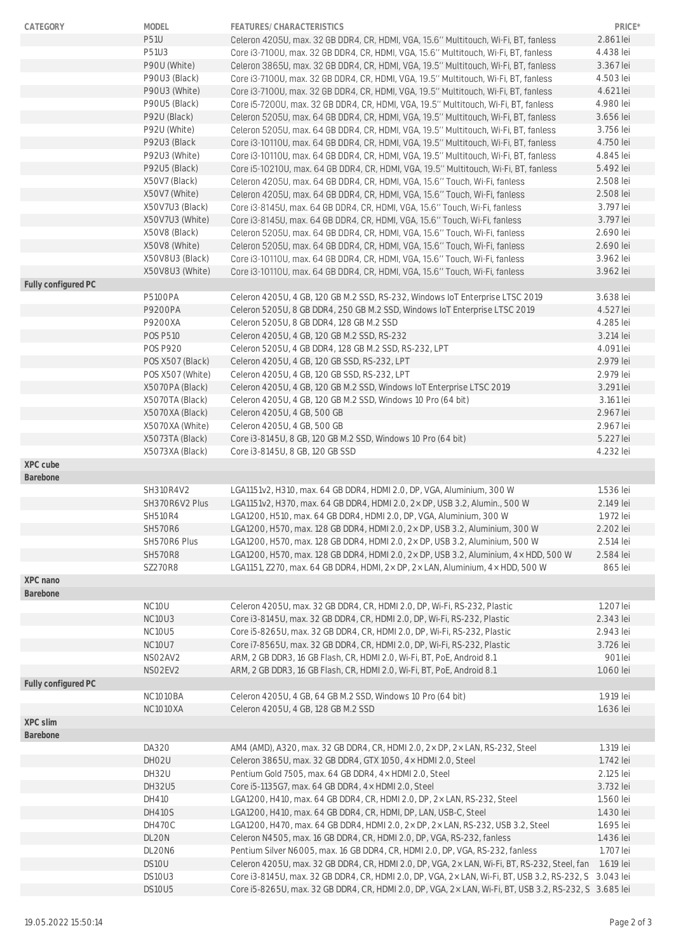| CATEGORY            | MODEL              | FEATURES/CHARACTERISTICS                                                                                                                                                                                         | PRICE*    |
|---------------------|--------------------|------------------------------------------------------------------------------------------------------------------------------------------------------------------------------------------------------------------|-----------|
|                     | <b>P51U</b>        | Celeron 4205U, max. 32 GB DDR4, CR, HDMI, VGA, 15.6" Multitouch, Wi-Fi, BT, fanless                                                                                                                              | 2.861 lei |
|                     | P51U3              | Core i3-7100U, max. 32 GB DDR4, CR, HDMI, VGA, 15.6" Multitouch, Wi-Fi, BT, fanless                                                                                                                              | 4.438 lei |
|                     | P90U (White)       | Celeron 3865U, max. 32 GB DDR4, CR, HDMI, VGA, 19.5" Multitouch, Wi-Fi, BT, fanless                                                                                                                              | 3.367 lei |
|                     | P90U3 (Black)      | Core i3-7100U, max. 32 GB DDR4, CR, HDMI, VGA, 19.5" Multitouch, Wi-Fi, BT, fanless                                                                                                                              | 4.503 lei |
|                     | P90U3 (White)      | Core i3-7100U, max. 32 GB DDR4, CR, HDMI, VGA, 19.5" Multitouch, Wi-Fi, BT, fanless                                                                                                                              | 4.621 lei |
|                     | P90U5 (Black)      | Core i5-7200U, max. 32 GB DDR4, CR, HDMI, VGA, 19.5" Multitouch, Wi-Fi, BT, fanless                                                                                                                              | 4.980 lei |
|                     | P92U (Black)       | Celeron 5205U, max. 64 GB DDR4, CR, HDMI, VGA, 19.5" Multitouch, Wi-Fi, BT, fanless                                                                                                                              | 3.656 lei |
|                     | P92U (White)       | Celeron 5205U, max. 64 GB DDR4, CR, HDMI, VGA, 19.5" Multitouch, Wi-Fi, BT, fanless                                                                                                                              | 3.756 lei |
|                     | P92U3 (Black       | Core i3-10110U, max, 64 GB DDR4, CR, HDMI, VGA, 19.5" Multitouch, Wi-Fi, BT, fanless                                                                                                                             | 4.750 lei |
|                     | P92U3 (White)      | Core i3-10110U, max. 64 GB DDR4, CR, HDMI, VGA, 19.5" Multitouch, Wi-Fi, BT, fanless                                                                                                                             | 4.845 lei |
|                     | P92U5 (Black)      | Core i5-10210U, max. 64 GB DDR4, CR, HDMI, VGA, 19.5" Multitouch, Wi-Fi, BT, fanless                                                                                                                             | 5.492 lei |
|                     | X50V7 (Black)      | Celeron 4205U, max. 64 GB DDR4, CR, HDMI, VGA, 15.6" Touch, Wi-Fi, fanless                                                                                                                                       | 2.508 lei |
|                     | X50V7 (White)      | Celeron 4205U, max. 64 GB DDR4, CR, HDMI, VGA, 15.6" Touch, Wi-Fi, fanless                                                                                                                                       | 2.508 lei |
|                     | X50V7U3 (Black)    | Core i3-8145U, max. 64 GB DDR4, CR, HDMI, VGA, 15.6" Touch, Wi-Fi, fanless                                                                                                                                       | 3.797 lei |
|                     | X50V7U3 (White)    | Core i3-8145U, max. 64 GB DDR4, CR, HDMI, VGA, 15.6" Touch, Wi-Fi, fanless                                                                                                                                       | 3.797 lei |
|                     | X50V8 (Black)      | Celeron 5205U, max. 64 GB DDR4, CR, HDMI, VGA, 15.6" Touch, Wi-Fi, fanless                                                                                                                                       | 2.690 lei |
|                     | X50V8 (White)      | Celeron 5205U, max. 64 GB DDR4, CR, HDMI, VGA, 15.6" Touch, Wi-Fi, fanless                                                                                                                                       | 2.690 lei |
|                     | X50V8U3 (Black)    | Core i3-10110U, max. 64 GB DDR4, CR, HDMI, VGA, 15.6" Touch, Wi-Fi, fanless                                                                                                                                      | 3.962 lei |
|                     | X50V8U3 (White)    | Core i3-10110U, max, 64 GB DDR4, CR, HDMI, VGA, 15.6" Touch, Wi-Fi, fanless                                                                                                                                      | 3.962 lei |
| Fully configured PC |                    |                                                                                                                                                                                                                  |           |
|                     | <b>P5100PA</b>     | Celeron 4205U, 4 GB, 120 GB M.2 SSD, RS-232, Windows IoT Enterprise LTSC 2019                                                                                                                                    | 3.638 lei |
|                     | <b>P9200PA</b>     | Celeron 5205U, 8 GB DDR4, 250 GB M.2 SSD, Windows IoT Enterprise LTSC 2019                                                                                                                                       | 4.527 lei |
|                     | P9200XA            | Celeron 5205U, 8 GB DDR4, 128 GB M.2 SSD                                                                                                                                                                         | 4.285 lei |
|                     | <b>POS P510</b>    | Celeron 4205U, 4 GB, 120 GB M.2 SSD, RS-232                                                                                                                                                                      | 3.214 lei |
|                     | <b>POS P920</b>    | Celeron 5205U, 4 GB DDR4, 128 GB M.2 SSD, RS-232, LPT                                                                                                                                                            | 4.091 lei |
|                     | POS X507 (Black)   | Celeron 4205U, 4 GB, 120 GB SSD, RS-232, LPT                                                                                                                                                                     | 2.979 lei |
|                     |                    |                                                                                                                                                                                                                  |           |
|                     | POS X507 (White)   | Celeron 4205U, 4 GB, 120 GB SSD, RS-232, LPT                                                                                                                                                                     | 2.979 lei |
|                     | X5070PA (Black)    | Celeron 4205U, 4 GB, 120 GB M.2 SSD, Windows IoT Enterprise LTSC 2019                                                                                                                                            | 3.291 lei |
|                     | X5070TA (Black)    | Celeron 4205U, 4 GB, 120 GB M.2 SSD, Windows 10 Pro (64 bit)                                                                                                                                                     | 3.161 lei |
|                     | X5070XA (Black)    | Celeron 4205U, 4 GB, 500 GB                                                                                                                                                                                      | 2.967 lei |
|                     | X5070XA (White)    | Celeron 4205U, 4 GB, 500 GB                                                                                                                                                                                      | 2.967 lei |
|                     | X5073TA (Black)    | Core i3-8145U, 8 GB, 120 GB M.2 SSD, Windows 10 Pro (64 bit)                                                                                                                                                     | 5.227 lei |
|                     | X5073XA (Black)    | Core i3-8145U, 8 GB, 120 GB SSD                                                                                                                                                                                  | 4.232 lei |
| XPC cube            |                    |                                                                                                                                                                                                                  |           |
| Barebone            |                    |                                                                                                                                                                                                                  |           |
|                     | SH310R4V2          | LGA1151v2, H310, max. 64 GB DDR4, HDMI 2.0, DP, VGA, Aluminium, 300 W                                                                                                                                            | 1.536 lei |
|                     | SH370R6V2 Plus     | LGA1151v2, H370, max. 64 GB DDR4, HDMI 2.0, 2 x DP, USB 3.2, Alumin., 500 W                                                                                                                                      | 2.149 lei |
|                     | <b>SH510R4</b>     | LGA1200, H510, max. 64 GB DDR4, HDMI 2.0, DP, VGA, Aluminium, 300 W                                                                                                                                              | 1.972 lei |
|                     | <b>SH570R6</b>     | LGA1200, H570, max. 128 GB DDR4, HDMI 2.0, 2x DP, USB 3.2, Aluminium, 300 W                                                                                                                                      | 2.202 lei |
|                     | SH570R6 Plus       | LGA1200, H570, max. 128 GB DDR4, HDMI 2.0, 2× DP, USB 3.2, Aluminium, 500 W                                                                                                                                      | 2.514 lei |
|                     | <b>SH570R8</b>     | LGA1200, H570, max. 128 GB DDR4, HDMI 2.0, 2× DP, USB 3.2, Aluminium, 4× HDD, 500 W                                                                                                                              | 2.584 lei |
|                     | <b>SZ270R8</b>     | LGA1151, Z270, max. 64 GB DDR4, HDMI, $2 \times$ DP, $2 \times$ LAN, Aluminium, $4 \times$ HDD, 500 W                                                                                                            | 865 lei   |
| XPC nano            |                    |                                                                                                                                                                                                                  |           |
| Barebone            |                    |                                                                                                                                                                                                                  |           |
|                     | NC <sub>1</sub> OU | Celeron 4205U, max. 32 GB DDR4, CR, HDMI 2.0, DP, Wi-Fi, RS-232, Plastic                                                                                                                                         | 1.207 lei |
|                     | NC10U3             | Core i3-8145U, max. 32 GB DDR4, CR, HDMI 2.0, DP, Wi-Fi, RS-232, Plastic                                                                                                                                         | 2.343 lei |
|                     | <b>NC10U5</b>      | Core i5-8265U, max. 32 GB DDR4, CR, HDMI 2.0, DP, Wi-Fi, RS-232, Plastic                                                                                                                                         | 2.943 lei |
|                     | <b>NC10U7</b>      | Core i7-8565U, max. 32 GB DDR4, CR, HDMI 2.0, DP, Wi-Fi, RS-232, Plastic                                                                                                                                         | 3.726 lei |
|                     | NSO2AV2            | ARM, 2 GB DDR3, 16 GB Flash, CR, HDMI 2.0, Wi-Fi, BT, PoE, Android 8.1                                                                                                                                           | 901 lei   |
|                     | NSO2EV2            | ARM, 2 GB DDR3, 16 GB Flash, CR, HDMI 2.0, Wi-Fi, BT, PoE, Android 8.1                                                                                                                                           | 1.060 lei |
| Fully configured PC |                    |                                                                                                                                                                                                                  |           |
|                     | NC1010BA           | Celeron 4205U, 4 GB, 64 GB M.2 SSD, Windows 10 Pro (64 bit)                                                                                                                                                      | 1.919 lei |
|                     | NC1010XA           | Celeron 4205U, 4 GB, 128 GB M.2 SSD                                                                                                                                                                              | 1.636 lei |
| XPC slim            |                    |                                                                                                                                                                                                                  |           |
| Barebone            |                    |                                                                                                                                                                                                                  |           |
|                     | DA320              | AM4 (AMD), A320, max. 32 GB DDR4, CR, HDMI 2.0, 2× DP, 2× LAN, RS-232, Steel                                                                                                                                     | 1.319 lei |
|                     | DH02U              | Celeron 3865U, max. 32 GB DDR4, GTX 1050, 4× HDMI 2.0, Steel                                                                                                                                                     | 1.742 lei |
|                     | DH32U              | Pentium Gold 7505, max. 64 GB DDR4, 4× HDMI 2.0, Steel                                                                                                                                                           | 2.125 lei |
|                     | DH32U5             | Core i5-1135G7, max. 64 GB DDR4, 4x HDMI 2.0, Steel                                                                                                                                                              | 3.732 lei |
|                     | DH410              | LGA1200, H410, max. 64 GB DDR4, CR, HDMI 2.0, DP, 2× LAN, RS-232, Steel                                                                                                                                          | 1.560 lei |
|                     | <b>DH410S</b>      | LGA1200, H410, max. 64 GB DDR4, CR, HDMI, DP, LAN, USB-C, Steel                                                                                                                                                  | 1.430 lei |
|                     | <b>DH470C</b>      | LGA1200, H470, max. 64 GB DDR4, HDMI 2.0, 2 x DP, 2 x LAN, RS-232, USB 3.2, Steel                                                                                                                                | 1.695 lei |
|                     |                    |                                                                                                                                                                                                                  |           |
|                     | DL20N              | Celeron N4505, max. 16 GB DDR4, CR, HDMI 2.0, DP, VGA, RS-232, fanless                                                                                                                                           | 1.436 lei |
|                     | DL20N6             | Pentium Silver N6005, max. 16 GB DDR4, CR, HDMI 2.0, DP, VGA, RS-232, fanless                                                                                                                                    | 1.707 lei |
|                     | DS10U              | Celeron 4205U, max. 32 GB DDR4, CR, HDMI 2.0, DP, VGA, 2× LAN, Wi-Fi, BT, RS-232, Steel, fan                                                                                                                     | 1.619 lei |
|                     | DS10U3<br>DS10U5   | Core i3-8145U, max. 32 GB DDR4, CR, HDMI 2.0, DP, VGA, 2× LAN, Wi-Fi, BT, USB 3.2, RS-232, S 3.043 lei<br>Core i5-8265U, max. 32 GB DDR4, CR, HDMI 2.0, DP, VGA, 2× LAN, Wi-Fi, BT, USB 3.2, RS-232, S 3.685 lei |           |